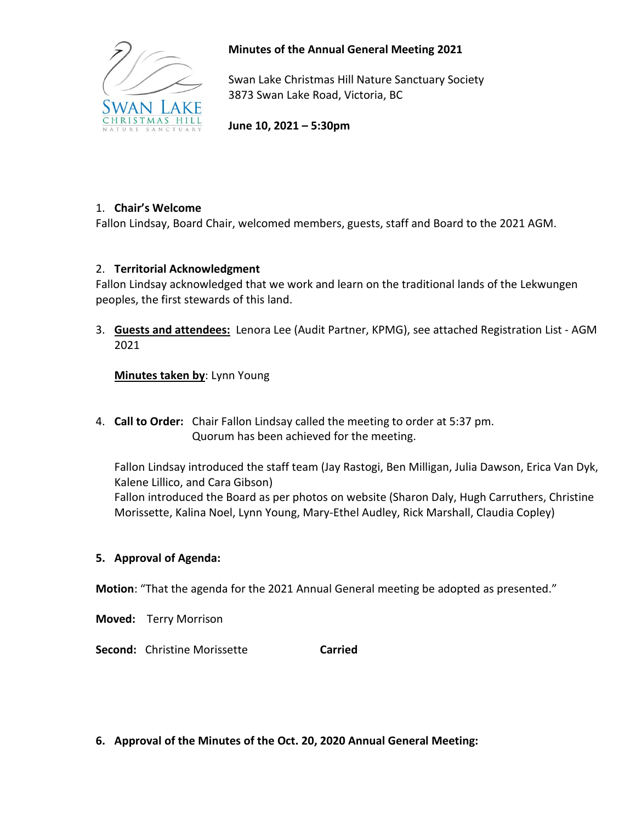

## **Minutes of the Annual General Meeting 2021**

Swan Lake Christmas Hill Nature Sanctuary Society 3873 Swan Lake Road, Victoria, BC

**June 10, 2021 – 5:30pm**

# 1. **Chair's Welcome**

Fallon Lindsay, Board Chair, welcomed members, guests, staff and Board to the 2021 AGM.

# 2. **Territorial Acknowledgment**

Fallon Lindsay acknowledged that we work and learn on the traditional lands of the Lekwungen peoples, the first stewards of this land.

3. **Guests and attendees:** Lenora Lee (Audit Partner, KPMG), see attached Registration List - AGM 2021

**Minutes taken by**: Lynn Young

4. **Call to Order:** Chair Fallon Lindsay called the meeting to order at 5:37 pm. Quorum has been achieved for the meeting.

Fallon Lindsay introduced the staff team (Jay Rastogi, Ben Milligan, Julia Dawson, Erica Van Dyk, Kalene Lillico, and Cara Gibson) Fallon introduced the Board as per photos on website (Sharon Daly, Hugh Carruthers, Christine Morissette, Kalina Noel, Lynn Young, Mary-Ethel Audley, Rick Marshall, Claudia Copley)

## **5. Approval of Agenda:**

**Motion**: "That the agenda for the 2021 Annual General meeting be adopted as presented."

**Moved:** Terry Morrison

**Second:** Christine Morissette **Carried** 

**6. Approval of the Minutes of the Oct. 20, 2020 Annual General Meeting:**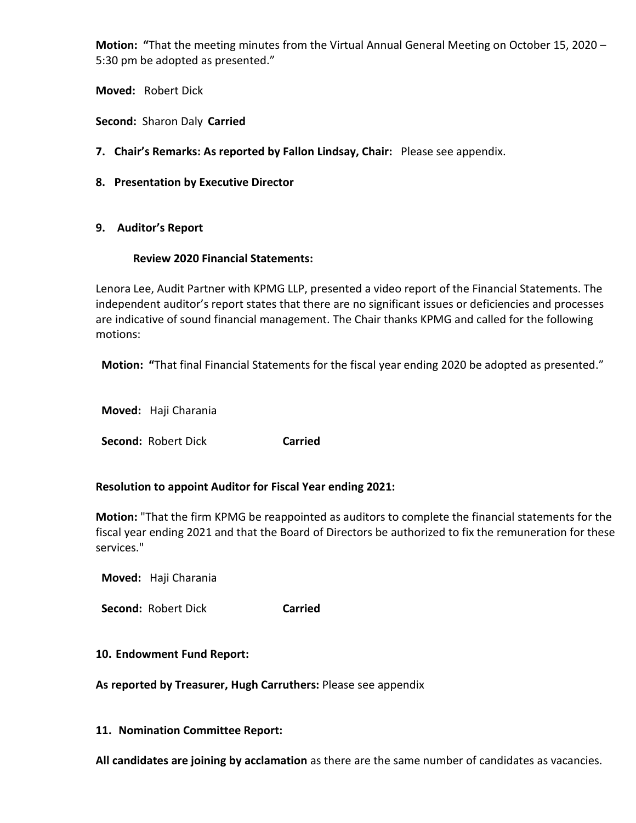**Motion: "**That the meeting minutes from the Virtual Annual General Meeting on October 15, 2020 – 5:30 pm be adopted as presented."

**Moved:** Robert Dick

**Second:** Sharon Daly **Carried**

- **7. Chair's Remarks: As reported by Fallon Lindsay, Chair:** Please see appendix.
- **8. Presentation by Executive Director**

## **9. Auditor's Report**

#### **Review 2020 Financial Statements:**

Lenora Lee, Audit Partner with KPMG LLP, presented a video report of the Financial Statements. The independent auditor's report states that there are no significant issues or deficiencies and processes are indicative of sound financial management. The Chair thanks KPMG and called for the following motions:

 **Motion: "**That final Financial Statements for the fiscal year ending 2020 be adopted as presented."

 **Moved:** Haji Charania

**Second: Robert Dick Carried** 

## **Resolution to appoint Auditor for Fiscal Year ending 2021:**

**Motion:** "That the firm KPMG be reappointed as auditors to complete the financial statements for the fiscal year ending 2021 and that the Board of Directors be authorized to fix the remuneration for these services."

 **Moved:** Haji Charania

 **Second:** Robert Dick **Carried**

## **10. Endowment Fund Report:**

**As reported by Treasurer, Hugh Carruthers:** Please see appendix

#### **11. Nomination Committee Report:**

**All candidates are joining by acclamation** as there are the same number of candidates as vacancies.